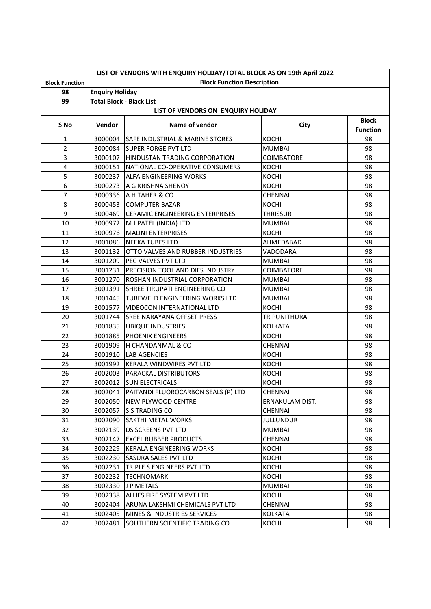|                                    | LIST OF VENDORS WITH ENQUIRY HOLDAY/TOTAL BLOCK AS ON 19th April 2022 |                                             |                        |                                 |  |  |  |  |
|------------------------------------|-----------------------------------------------------------------------|---------------------------------------------|------------------------|---------------------------------|--|--|--|--|
| <b>Block Function</b>              | <b>Block Function Description</b>                                     |                                             |                        |                                 |  |  |  |  |
| 98                                 | <b>Enquiry Holiday</b>                                                |                                             |                        |                                 |  |  |  |  |
| 99                                 | <b>Total Block - Black List</b>                                       |                                             |                        |                                 |  |  |  |  |
| LIST OF VENDORS ON ENQUIRY HOLIDAY |                                                                       |                                             |                        |                                 |  |  |  |  |
| S No                               | Vendor                                                                | Name of vendor                              | City                   | <b>Block</b><br><b>Function</b> |  |  |  |  |
| 1                                  | 3000004                                                               | <b>SAFE INDUSTRIAL &amp; MARINE STORES</b>  | KOCHI                  | 98                              |  |  |  |  |
| $\overline{2}$                     | 3000084                                                               | <b>SUPER FORGE PVT LTD</b>                  | <b>MUMBAI</b>          | 98                              |  |  |  |  |
| 3                                  | 3000107                                                               | HINDUSTAN TRADING CORPORATION               | COIMBATORE             | 98                              |  |  |  |  |
| 4                                  | 3000151                                                               | NATIONAL CO-OPERATIVE CONSUMERS             | <b>KOCHI</b>           | 98                              |  |  |  |  |
| 5                                  | 3000237                                                               | <b>ALFA ENGINEERING WORKS</b>               | KOCHI                  | 98                              |  |  |  |  |
| 6                                  | 3000273                                                               | A G KRISHNA SHENOY                          | <b>KOCHI</b>           | 98                              |  |  |  |  |
| $\overline{7}$                     | 3000336                                                               | A H TAHER & CO                              | <b>CHENNAI</b>         | 98                              |  |  |  |  |
| 8                                  | 3000453                                                               | <b>COMPUTER BAZAR</b>                       | KOCHI                  | 98                              |  |  |  |  |
| 9                                  | 3000469                                                               | <b>CERAMIC ENGINEERING ENTERPRISES</b>      | <b>THRISSUR</b>        | 98                              |  |  |  |  |
| 10                                 | 3000972                                                               | M J PATEL (INDIA) LTD                       | <b>MUMBAI</b>          | 98                              |  |  |  |  |
| 11                                 | 3000976                                                               | <b>MALINI ENTERPRISES</b>                   | KOCHI                  | 98                              |  |  |  |  |
| 12                                 | 3001086                                                               | <b>NEEKA TUBES LTD</b>                      | AHMEDABAD              | 98                              |  |  |  |  |
| 13                                 | 3001132                                                               | OTTO VALVES AND RUBBER INDUSTRIES           | VADODARA               | 98                              |  |  |  |  |
| 14                                 | 3001209                                                               | <b>PEC VALVES PVT LTD</b>                   | <b>MUMBAI</b>          | 98                              |  |  |  |  |
| 15                                 | 3001231                                                               | <b>PRECISION TOOL AND DIES INDUSTRY</b>     | <b>COIMBATORE</b>      | 98                              |  |  |  |  |
| 16                                 | 3001270                                                               | ROSHAN INDUSTRIAL CORPORATION               | <b>MUMBAI</b>          | 98                              |  |  |  |  |
| 17                                 | 3001391                                                               | <b>SHREE TIRUPATI ENGINEERING CO</b>        | <b>MUMBAI</b>          | 98                              |  |  |  |  |
| 18                                 |                                                                       | 3001445 TUBEWELD ENGINEERING WORKS LTD      | <b>MUMBAI</b>          | 98                              |  |  |  |  |
| 19                                 | 3001577                                                               | VIDEOCON INTERNATIONAL LTD                  | <b>KOCHI</b>           | 98                              |  |  |  |  |
| 20                                 | 3001744                                                               | SREE NARAYANA OFFSET PRESS                  | <b>TRIPUNITHURA</b>    | 98                              |  |  |  |  |
| 21                                 | 3001835                                                               | <b>UBIQUE INDUSTRIES</b>                    | <b>KOLKATA</b>         | 98                              |  |  |  |  |
| 22                                 | 3001885                                                               | PHOENIX ENGINEERS                           | KOCHI                  | 98                              |  |  |  |  |
| 23                                 | 3001909                                                               | H CHANDANMAL & CO                           | CHENNAI                | 98                              |  |  |  |  |
| 24                                 | 3001910                                                               | <b>LAB AGENCIES</b>                         | <b>KOCHI</b>           | 98                              |  |  |  |  |
| 25                                 |                                                                       | 3001992 KERALA WINDWIRES PVT LTD            | <b>KOCHI</b>           | 98                              |  |  |  |  |
| 26                                 | 3002003                                                               | <b>PARACKAL DISTRIBUTORS</b>                | KOCHI                  | 98                              |  |  |  |  |
| 27                                 |                                                                       | 3002012 ISUN ELECTRICALS                    | <b>KOCHI</b>           | 98                              |  |  |  |  |
| 28                                 |                                                                       | 3002041 PAITANDI FLUOROCARBON SEALS (P) LTD | CHENNAI                | 98                              |  |  |  |  |
| 29                                 | 3002050                                                               | <b>INEW PLYWOOD CENTRE</b>                  | <b>ERNAKULAM DIST.</b> | 98                              |  |  |  |  |
| 30                                 | 3002057                                                               | IS S TRADING CO                             | CHENNAI                | 98                              |  |  |  |  |
| 31                                 | 3002090                                                               | <b>SAKTHI METAL WORKS</b>                   | <b>JULLUNDUR</b>       | 98                              |  |  |  |  |
| 32                                 | 3002139                                                               | <b>DS SCREENS PVT LTD</b>                   | <b>MUMBAI</b>          | 98                              |  |  |  |  |
| 33                                 | 3002147                                                               | <b>EXCEL RUBBER PRODUCTS</b>                | CHENNAI                | 98                              |  |  |  |  |
| 34                                 | 3002229                                                               | KERALA ENGINEERING WORKS                    | KOCHI                  | 98                              |  |  |  |  |
| 35                                 | 3002230                                                               | <b>SASURA SALES PVT LTD</b>                 | KOCHI                  | 98                              |  |  |  |  |
| 36                                 | 3002231                                                               | TRIPLE S ENGINEERS PVT LTD                  | KOCHI                  | 98                              |  |  |  |  |
| 37                                 | 3002232                                                               | TECHNOMARK                                  | KOCHI                  | 98                              |  |  |  |  |
| 38                                 | 3002330                                                               | J P METALS                                  | <b>MUMBAI</b>          | 98                              |  |  |  |  |
| 39                                 | 3002338                                                               | ALLIES FIRE SYSTEM PVT LTD                  | KOCHI                  | 98                              |  |  |  |  |
| 40                                 | 3002404                                                               | ARUNA LAKSHMI CHEMICALS PVT LTD             | CHENNAI                | 98                              |  |  |  |  |
| 41                                 | 3002405                                                               | MINES & INDUSTRIES SERVICES                 | <b>KOLKATA</b>         | 98                              |  |  |  |  |
| 42                                 | 3002481                                                               | SOUTHERN SCIENTIFIC TRADING CO              | KOCHI                  | 98                              |  |  |  |  |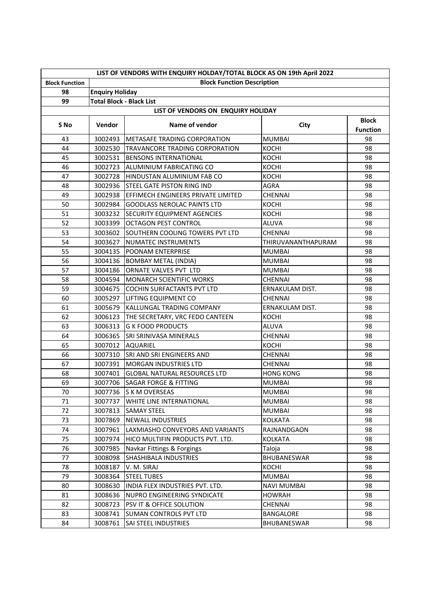| LIST OF VENDORS WITH ENQUIRY HOLDAY/TOTAL BLOCK AS ON 19th April 2022 |                                   |                                     |                    |                                 |  |  |  |
|-----------------------------------------------------------------------|-----------------------------------|-------------------------------------|--------------------|---------------------------------|--|--|--|
| <b>Block Function</b>                                                 | <b>Block Function Description</b> |                                     |                    |                                 |  |  |  |
| 98                                                                    | <b>Enquiry Holiday</b>            |                                     |                    |                                 |  |  |  |
| 99                                                                    | <b>Total Block - Black List</b>   |                                     |                    |                                 |  |  |  |
| LIST OF VENDORS ON ENQUIRY HOLIDAY                                    |                                   |                                     |                    |                                 |  |  |  |
| S No                                                                  | Vendor                            | Name of vendor                      | City               | <b>Block</b><br><b>Function</b> |  |  |  |
| 43                                                                    | 3002493                           | METASAFE TRADING CORPORATION        | <b>MUMBAI</b>      | 98                              |  |  |  |
| 44                                                                    | 3002530                           | TRAVANCORE TRADING CORPORATION      | <b>KOCHI</b>       | 98                              |  |  |  |
| 45                                                                    | 3002531                           | <b>BENSONS INTERNATIONAL</b>        | <b>KOCHI</b>       | 98                              |  |  |  |
| 46                                                                    | 3002723                           | ALUMINIUM FABRICATING CO            | <b>KOCHI</b>       | 98                              |  |  |  |
| 47                                                                    | 3002728                           | HINDUSTAN ALUMINIUM FAB CO          | <b>KOCHI</b>       | 98                              |  |  |  |
| 48                                                                    | 3002936                           | <b>STEEL GATE PISTON RING IND</b>   | AGRA               | 98                              |  |  |  |
| 49                                                                    | 3002938                           | EFFIMECH ENGINEERS PRIVATE LIMITED  | CHENNAI            | 98                              |  |  |  |
| 50                                                                    | 3002984                           | <b>GOODLASS NEROLAC PAINTS LTD</b>  | <b>KOCHI</b>       | 98                              |  |  |  |
| 51                                                                    | 3003232                           | <b>SECURITY EQUIPMENT AGENCIES</b>  | <b>KOCHI</b>       | 98                              |  |  |  |
| 52                                                                    | 3003399                           | <b>OCTAGON PEST CONTROL</b>         | <b>ALUVA</b>       | 98                              |  |  |  |
| 53                                                                    | 3003602                           | SOUTHERN COOLING TOWERS PVT LTD     | CHENNAI            | 98                              |  |  |  |
| 54                                                                    | 3003627                           | NUMATEC INSTRUMENTS                 | THIRUVANANTHAPURAM | 98                              |  |  |  |
| 55                                                                    | 3004135                           | <b>POONAM ENTERPRISE</b>            | <b>MUMBAI</b>      | 98                              |  |  |  |
| 56                                                                    | 3004136                           | <b>BOMBAY METAL (INDIA)</b>         | <b>MUMBAI</b>      | 98                              |  |  |  |
| 57                                                                    | 3004186                           | ORNATE VALVES PVT LTD               | <b>MUMBAI</b>      | 98                              |  |  |  |
| 58                                                                    | 3004594                           | <b>MONARCH SCIENTIFIC WORKS</b>     | <b>CHENNAI</b>     | 98                              |  |  |  |
| 59                                                                    | 3004675                           | <b>COCHIN SURFACTANTS PVT LTD</b>   | ERNAKULAM DIST.    | 98                              |  |  |  |
| 60                                                                    | 3005297                           | LIFTING EQUIPMENT CO                | CHENNAI            | 98                              |  |  |  |
| 61                                                                    | 3005679                           | KALLUNGAL TRADING COMPANY           | ERNAKULAM DIST.    | 98                              |  |  |  |
| 62                                                                    | 3006123                           | THE SECRETARY, VRC FEDO CANTEEN     | <b>KOCHI</b>       | 98                              |  |  |  |
| 63                                                                    | 3006313                           | <b>G K FOOD PRODUCTS</b>            | <b>ALUVA</b>       | 98                              |  |  |  |
| 64                                                                    | 3006365                           | <b>SRI SRINIVASA MINERALS</b>       | <b>CHENNAI</b>     | 98                              |  |  |  |
| 65                                                                    | 3007012                           | <b>AQUARIEL</b>                     | <b>KOCHI</b>       | 98                              |  |  |  |
| 66                                                                    | 3007310                           | <b>SRI AND SRI ENGINEERS AND</b>    | <b>CHENNAI</b>     | 98                              |  |  |  |
| 67                                                                    | 3007391                           | <b>MORGAN INDUSTRIES LTD</b>        | CHENNAI            | 98                              |  |  |  |
| 68                                                                    | 3007401                           | <b>GLOBAL NATURAL RESOURCES LTD</b> | <b>HONG KONG</b>   | 98                              |  |  |  |
| 69                                                                    |                                   | 3007706 SAGAR FORGE & FITTING       | <b>MUMBAI</b>      | 98                              |  |  |  |
| $70\,$                                                                |                                   | 3007736 S K M OVERSEAS              | <b>MUMBAI</b>      | 98                              |  |  |  |
| 71                                                                    | 3007737                           | WHITE LINE INTERNATIONAL            | <b>MUMBAI</b>      | 98                              |  |  |  |
| 72                                                                    | 3007813                           | <b>SAMAY STEEL</b>                  | <b>MUMBAI</b>      | 98                              |  |  |  |
| 73                                                                    | 3007869                           | NEWALL INDUSTRIES                   | <b>KOLKATA</b>     | 98                              |  |  |  |
| 74                                                                    | 3007961                           | LAXMIASHO CONVEYORS AND VARIANTS    | RAJNANDGAON        | 98                              |  |  |  |
| 75                                                                    | 3007974                           | HICO MULTIFIN PRODUCTS PVT. LTD.    | <b>KOLKATA</b>     | 98                              |  |  |  |
| 76                                                                    | 3007985                           | Navkar Fittings & Forgings          | Taloja             | 98                              |  |  |  |
| 77                                                                    | 3008098                           | SHASHIBALA INDUSTRIES               | BHUBANESWAR        | 98                              |  |  |  |
| 78                                                                    | 3008187                           | V. M. SIRAJ                         | KOCHI              | 98                              |  |  |  |
| 79                                                                    | 3008364                           | <b>STEEL TUBES</b>                  | <b>MUMBAI</b>      | 98                              |  |  |  |
| 80                                                                    | 3008630                           | INDIA FLEX INDUSTRIES PVT. LTD.     | <b>NAVI MUMBAI</b> | 98                              |  |  |  |
| 81                                                                    | 3008636                           | <b>NUPRO ENGINEERING SYNDICATE</b>  | <b>HOWRAH</b>      | 98                              |  |  |  |
| 82                                                                    | 3008723                           | PSV IT & OFFICE SOLUTION            | CHENNAI            | 98                              |  |  |  |
| 83                                                                    | 3008741                           | <b>SUMAN CONTROLS PVT LTD</b>       | <b>BANGALORE</b>   | 98                              |  |  |  |
| 84                                                                    | 3008761                           | SAI STEEL INDUSTRIES                | BHUBANESWAR        | 98                              |  |  |  |